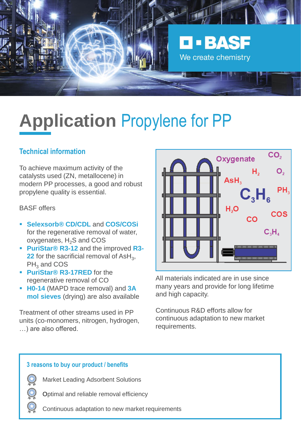

# **Application** Propylene for PP

#### **Technical information**

To achieve maximum activity of the catalysts used (ZN, metallocene) in modern PP processes, a good and robust propylene quality is essential.

#### BASF offers

- **Selexsorb® CD/CDL** and **COS/COSi** for the regenerative removal of water, oxygenates,  $H<sub>2</sub>S$  and COS
- **PuriStar® R3-12** and the improved **R3- 22** for the sacrificial removal of  $\text{ASH}_3$ ,  $PH_3$  and COS
- **PuriStar® R3-17RED** for the regenerative removal of CO
- **H0-14** (MAPD trace removal) and **3A mol sieves** (drying) are also available

Treatment of other streams used in PP units (co-monomers, nitrogen, hydrogen, …) are also offered.



All materials indicated are in use since many years and provide for long lifetime and high capacity.

Continuous R&D efforts allow for continuous adaptation to new market requirements.

#### **3 reasons to buy our product / benefits**

Market Leading Adsorbent Solutions

Optimal and reliable removal efficiency

Continuous adaptation to new market requirements